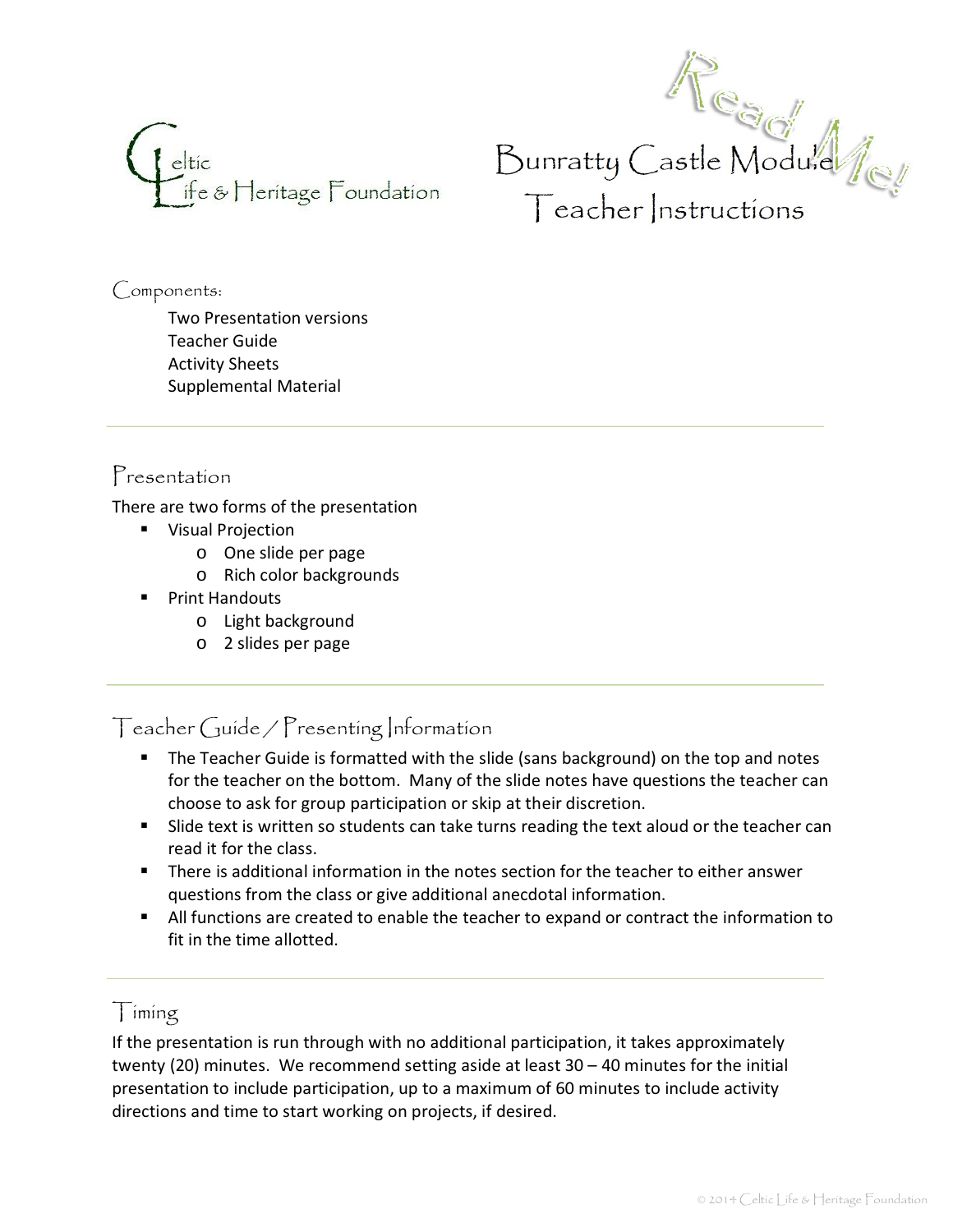



Components:

Two Presentation versions Teacher Guide Activity Sheets Supplemental Material

#### Presentation

There are two forms of the presentation

- **Wisual Projection** 
	- o One slide per page
	- o Rich color backgrounds
- **•** Print Handouts
	- o Light background
	- o 2 slides per page

Teacher Guide / Presenting Information

- **The Teacher Guide is formatted with the slide (sans background) on the top and notes** for the teacher on the bottom. Many of the slide notes have questions the teacher can choose to ask for group participation or skip at their discretion.
- **Slide text is written so students can take turns reading the text aloud or the teacher can** read it for the class.
- � There is additional information in the notes section for the teacher to either answer questions from the class or give additional anecdotal information.
- � All functions are created to enable the teacher to expand or contract the information to fit in the time allotted.

#### $\int$  iming

If the presentation is run through with no additional participation, it takes approximately twenty (20) minutes. We recommend setting aside at least  $30 - 40$  minutes for the initial presentation to include participation, up to a maximum of 60 minutes to include activity directions and time to start working on projects, if desired.